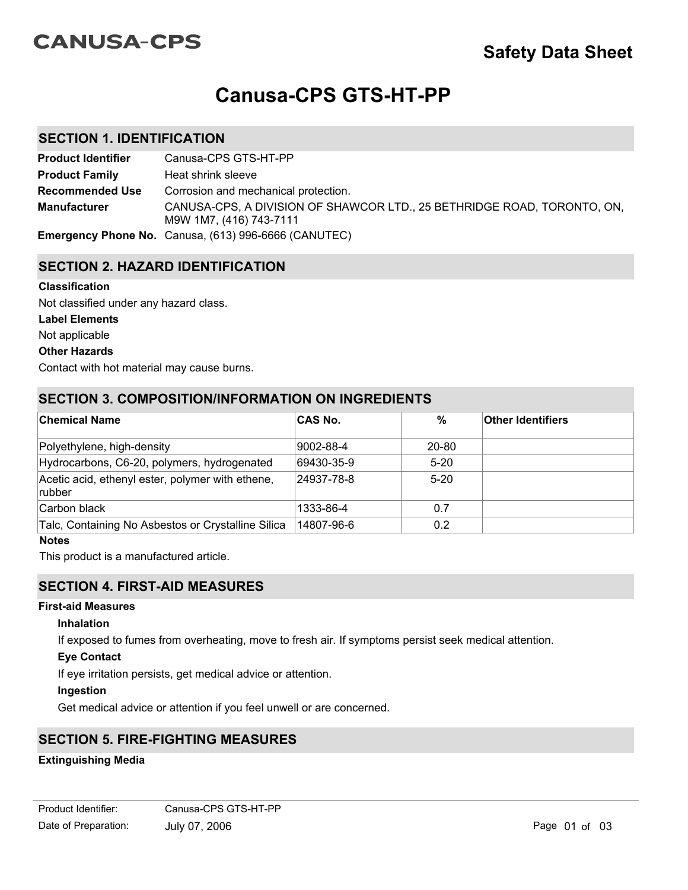# **CANUSA-CPS**

# **Canusa-CPS GTS-HT-PP**

# **SECTION 1. IDENTIFICATION**

| <b>Product Identifier</b> | Canusa-CPS GTS-HT-PP                                                                               |
|---------------------------|----------------------------------------------------------------------------------------------------|
| <b>Product Family</b>     | Heat shrink sleeve                                                                                 |
| <b>Recommended Use</b>    | Corrosion and mechanical protection.                                                               |
| <b>Manufacturer</b>       | CANUSA-CPS, A DIVISION OF SHAWCOR LTD., 25 BETHRIDGE ROAD, TORONTO, ON,<br>M9W 1M7, (416) 743-7111 |
|                           | <b>Emergency Phone No.</b> Canusa, (613) 996-6666 (CANUTEC)                                        |

# **SECTION 2. HAZARD IDENTIFICATION**

#### **Classification**

Not classified under any hazard class.

#### **Label Elements**

Not applicable

#### **Other Hazards**

Contact with hot material may cause burns.

## **SECTION 3. COMPOSITION/INFORMATION ON INGREDIENTS**

| ∣Chemical Name                                              | <b>CAS No.</b> | $\%$   | <b>Other Identifiers</b> |
|-------------------------------------------------------------|----------------|--------|--------------------------|
| Polyethylene, high-density                                  | 9002-88-4      | 20-80  |                          |
| Hydrocarbons, C6-20, polymers, hydrogenated                 | 69430-35-9     | $5-20$ |                          |
| Acetic acid, ethenyl ester, polymer with ethene,<br> rubber | 24937-78-8     | $5-20$ |                          |
| Carbon black                                                | 1333-86-4      | 0.7    |                          |
| Talc, Containing No Asbestos or Crystalline Silica          | 14807-96-6     | 0.2    |                          |

#### **Notes**

This product is a manufactured article.

## **SECTION 4. FIRST-AID MEASURES**

#### **First-aid Measures**

#### **Inhalation**

If exposed to fumes from overheating, move to fresh air. If symptoms persist seek medical attention.

### **Eye Contact**

If eye irritation persists, get medical advice or attention.

#### **Ingestion**

Get medical advice or attention if you feel unwell or are concerned.

# **SECTION 5. FIRE-FIGHTING MEASURES**

#### **Extinguishing Media**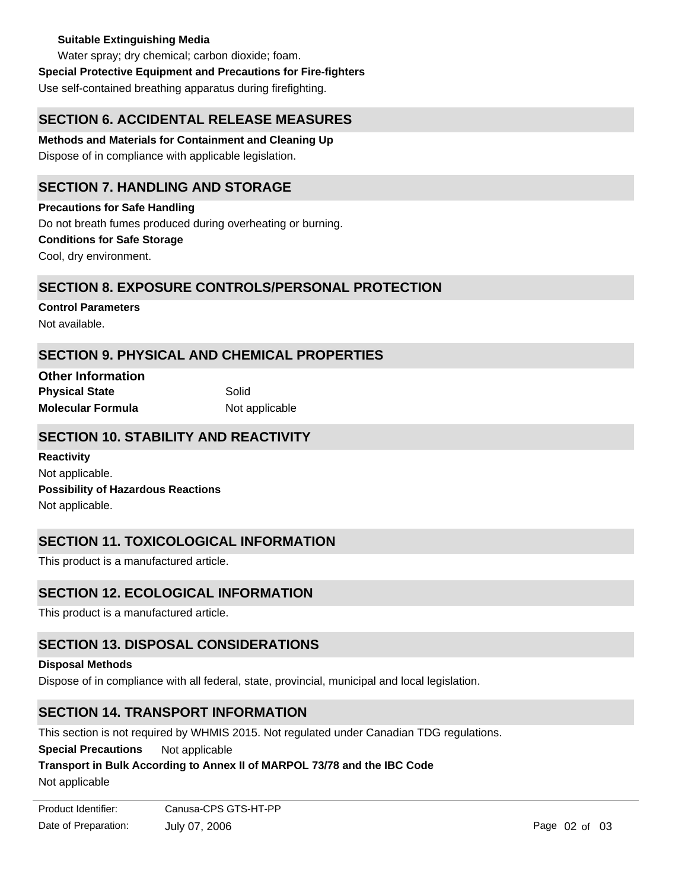### **Suitable Extinguishing Media**

Water spray; dry chemical; carbon dioxide; foam.

**Special Protective Equipment and Precautions for Fire-fighters**

Use self-contained breathing apparatus during firefighting.

## **SECTION 6. ACCIDENTAL RELEASE MEASURES**

**Methods and Materials for Containment and Cleaning Up** Dispose of in compliance with applicable legislation.

# **SECTION 7. HANDLING AND STORAGE**

**Precautions for Safe Handling** Do not breath fumes produced during overheating or burning. **Conditions for Safe Storage** Cool, dry environment.

## **SECTION 8. EXPOSURE CONTROLS/PERSONAL PROTECTION**

**Control Parameters** Not available.

## **SECTION 9. PHYSICAL AND CHEMICAL PROPERTIES**

**Molecular Formula** Not applicable **Physical State** Solid **Other Information**

# **SECTION 10. STABILITY AND REACTIVITY**

**Possibility of Hazardous Reactions** Not applicable. **Reactivity** Not applicable.

## **SECTION 11. TOXICOLOGICAL INFORMATION**

This product is a manufactured article.

# **SECTION 12. ECOLOGICAL INFORMATION**

This product is a manufactured article.

# **SECTION 13. DISPOSAL CONSIDERATIONS**

#### **Disposal Methods**

Dispose of in compliance with all federal, state, provincial, municipal and local legislation.

## **SECTION 14. TRANSPORT INFORMATION**

This section is not required by WHMIS 2015. Not regulated under Canadian TDG regulations.

**Special Precautions** Not applicable

#### **Transport in Bulk According to Annex II of MARPOL 73/78 and the IBC Code**

Not applicable